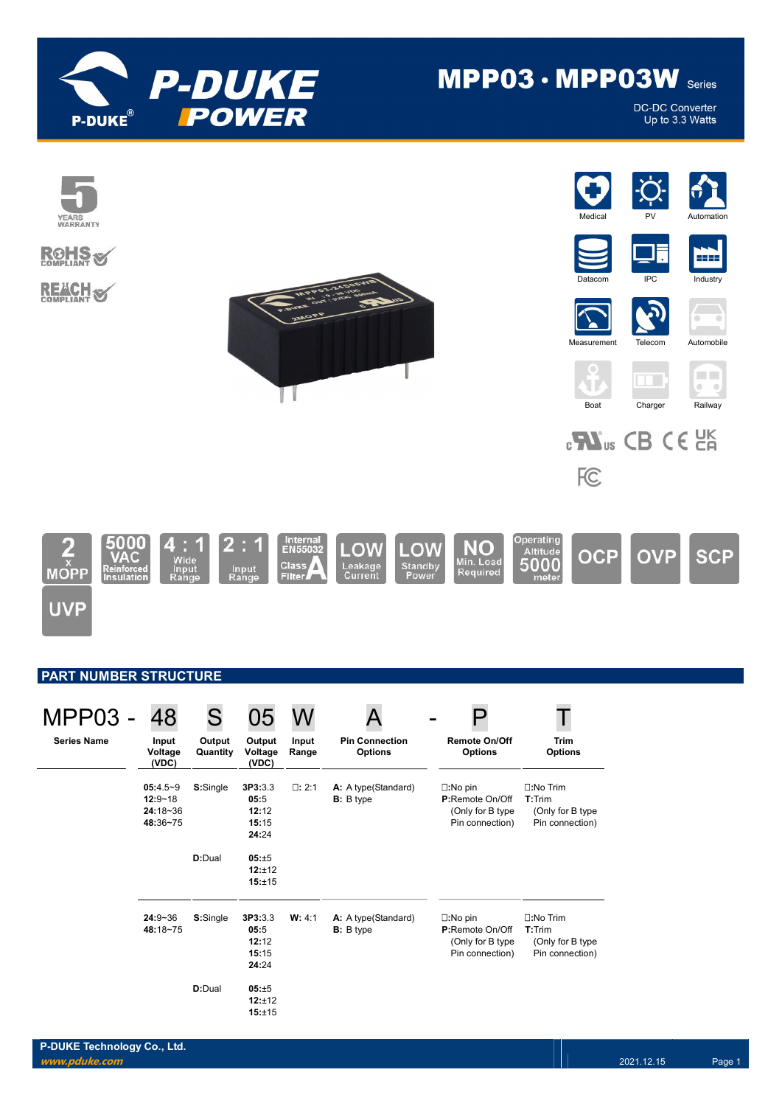

# MPP03 · MPP03W Series

**DC-DC Converter** Up to 3.3 Watts



## PART NUMBER STRUCTURE

| <b>MPP03 -</b>     | 48                                                    | S                  | 05                                         | W              |                                           |                                                                                     |                                                                   |
|--------------------|-------------------------------------------------------|--------------------|--------------------------------------------|----------------|-------------------------------------------|-------------------------------------------------------------------------------------|-------------------------------------------------------------------|
| <b>Series Name</b> | Input<br>Voltage<br>(VDC)                             | Output<br>Quantity | Output<br>Voltage<br>(VDC)                 | Input<br>Range | <b>Pin Connection</b><br><b>Options</b>   | <b>Remote On/Off</b><br><b>Options</b>                                              | <b>Trim</b><br><b>Options</b>                                     |
|                    | $05:4.5-9$<br>$12:9 - 18$<br>$24:18 - 36$<br>48:36~75 | S:Single           | 3P3:3.3<br>05:5<br>12:12<br>15:15<br>24:24 | $\square: 2:1$ | A: A type(Standard)<br><b>B</b> : B type  | $\square:$ No pin<br><b>P:Remote On/Off</b><br>(Only for B type)<br>Pin connection) | □:No Trim<br>$T:$ Trim<br>(Only for B type<br>Pin connection)     |
|                    |                                                       | D:Dual             | 05:±5<br>12:±12<br>15:±15                  |                |                                           |                                                                                     |                                                                   |
|                    | $24:9 - 36$<br>48:18~75                               | S:Single           | 3P3:3.3<br>05:5<br>12:12<br>15:15<br>24:24 | W: 4:1         | A: A type (Standard)<br><b>B</b> : B type | $\square:$ No pin<br><b>P:Remote On/Off</b><br>(Only for B type)<br>Pin connection) | <b>n:No Trim</b><br>T:Trim<br>(Only for B type<br>Pin connection) |
|                    |                                                       | D:Dual             | 05:±5<br>12:±12<br>15:±15                  |                |                                           |                                                                                     |                                                                   |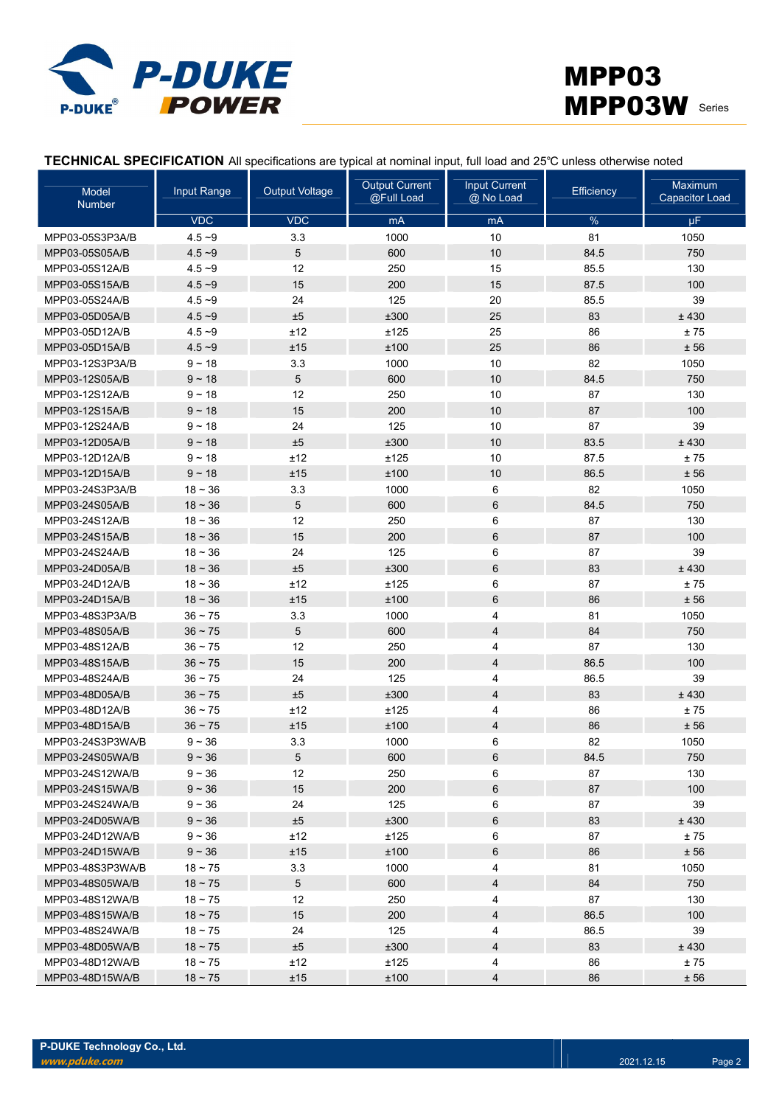



TECHNICAL SPECIFICATION All specifications are typical at nominal input, full load and 25℃ unless otherwise noted

| Model<br><b>Number</b> | Input Range | <b>Output Voltage</b> | <b>Output Current</b><br>@Full Load | <b>Input Current</b><br>@ No Load | Efficiency | Maximum<br><b>Capacitor Load</b> |
|------------------------|-------------|-----------------------|-------------------------------------|-----------------------------------|------------|----------------------------------|
|                        | <b>VDC</b>  | <b>VDC</b>            | mA                                  | mA                                | $\%$       | μF                               |
| MPP03-05S3P3A/B        | $4.5 - 9$   | 3.3                   | 1000                                | 10                                | 81         | 1050                             |
| MPP03-05S05A/B         | $4.5 - 9$   | 5                     | 600                                 | 10                                | 84.5       | 750                              |
| MPP03-05S12A/B         | $4.5 - 9$   | 12                    | 250                                 | 15                                | 85.5       | 130                              |
| MPP03-05S15A/B         | $4.5 - 9$   | 15                    | 200                                 | 15                                | 87.5       | 100                              |
| MPP03-05S24A/B         | $4.5 - 9$   | 24                    | 125                                 | 20                                | 85.5       | 39                               |
| MPP03-05D05A/B         | $4.5 - 9$   | ±5                    | ±300                                | 25                                | 83         | ±430                             |
| MPP03-05D12A/B         | $4.5 - 9$   | ±12                   | ±125                                | 25                                | 86         | ±75                              |
| MPP03-05D15A/B         | $4.5 - 9$   | ±15                   | ±100                                | 25                                | 86         | ± 56                             |
| MPP03-12S3P3A/B        | $9 - 18$    | 3.3                   | 1000                                | 10                                | 82         | 1050                             |
| MPP03-12S05A/B         | $9 - 18$    | 5                     | 600                                 | 10                                | 84.5       | 750                              |
| MPP03-12S12A/B         | $9 - 18$    | 12                    | 250                                 | 10                                | 87         | 130                              |
| MPP03-12S15A/B         | $9 - 18$    | 15                    | 200                                 | 10                                | 87         | 100                              |
| MPP03-12S24A/B         | $9 - 18$    | 24                    | 125                                 | 10                                | 87         | 39                               |
| MPP03-12D05A/B         | $9 - 18$    | ±5                    | ±300                                | 10                                | 83.5       | ±430                             |
| MPP03-12D12A/B         | $9 - 18$    | ±12                   | ±125                                | 10                                | 87.5       | ±75                              |
| MPP03-12D15A/B         | $9 - 18$    | ±15                   | ±100                                | 10                                | 86.5       | ± 56                             |
| MPP03-24S3P3A/B        | $18 - 36$   | 3.3                   | 1000                                | 6                                 | 82         | 1050                             |
| MPP03-24S05A/B         | $18 - 36$   | 5                     | 600                                 | 6                                 | 84.5       | 750                              |
| MPP03-24S12A/B         | $18 - 36$   | 12                    | 250                                 | 6                                 | 87         | 130                              |
| MPP03-24S15A/B         | $18 - 36$   | 15                    | 200                                 | 6                                 | 87         | 100                              |
| MPP03-24S24A/B         | $18 - 36$   | 24                    | 125                                 | 6                                 | 87         | 39                               |
| MPP03-24D05A/B         | $18 - 36$   | ±5                    | ±300                                | 6                                 | 83         | ±430                             |
| MPP03-24D12A/B         | $18 - 36$   | ±12                   | ±125                                | 6                                 | 87         | ±75                              |
| MPP03-24D15A/B         | $18 - 36$   | ±15                   | ±100                                | $6\phantom{1}$                    | 86         | ± 56                             |
| MPP03-48S3P3A/B        | $36 - 75$   | 3.3                   | 1000                                | 4                                 | 81         | 1050                             |
| MPP03-48S05A/B         | $36 - 75$   | 5                     | 600                                 | 4                                 | 84         | 750                              |
| MPP03-48S12A/B         | $36 - 75$   | 12                    | 250                                 | 4                                 | 87         | 130                              |
| MPP03-48S15A/B         | $36 - 75$   | 15                    | 200                                 | 4                                 | 86.5       | 100                              |
| MPP03-48S24A/B         | $36 - 75$   | 24                    | 125                                 | 4                                 | 86.5       | 39                               |
| MPP03-48D05A/B         | $36 - 75$   | ±5                    | ±300                                | 4                                 | 83         | ±430                             |
| MPP03-48D12A/B         | $36 - 75$   | ±12                   | ±125                                | 4                                 | 86         | ±75                              |
| MPP03-48D15A/B         | $36 - 75$   | ±15                   | ±100                                | 4                                 | 86         | ± 56                             |
| MPP03-24S3P3WA/B       | $9 - 36$    | 3.3                   | 1000                                | 6                                 | 82         | 1050                             |
| MPP03-24S05WA/B        | $9 - 36$    | 5                     | 600                                 | 6                                 | 84.5       | 750                              |
| MPP03-24S12WA/B        | $9 - 36$    | 12                    | 250                                 | 6                                 | 87         | 130                              |
| MPP03-24S15WA/B        | $9 - 36$    | 15                    | 200                                 | 6                                 | 87         | 100                              |
| MPP03-24S24WA/B        | $9 - 36$    | 24                    | 125                                 | 6                                 | 87         | 39                               |
| MPP03-24D05WA/B        | $9 - 36$    | ±5                    | ±300                                | 6                                 | 83         | ±430                             |
| MPP03-24D12WA/B        | $9 - 36$    | ±12                   | ±125                                | 6                                 | 87         | $\pm$ 75                         |
| MPP03-24D15WA/B        | $9 - 36$    | ±15                   | ±100                                | 6                                 | 86         | ± 56                             |
| MPP03-48S3P3WA/B       | $18 - 75$   | 3.3                   | 1000                                | 4                                 | 81         | 1050                             |
| MPP03-48S05WA/B        | $18 - 75$   | $5\overline{)}$       | 600                                 | 4                                 | 84         | 750                              |
| MPP03-48S12WA/B        | $18 - 75$   | 12                    | 250                                 | 4                                 | 87         | 130                              |
| MPP03-48S15WA/B        | $18 - 75$   | 15                    | 200                                 | 4                                 | 86.5       | 100                              |
| MPP03-48S24WA/B        | $18 - 75$   | 24                    | 125                                 | 4                                 | 86.5       | 39                               |
| MPP03-48D05WA/B        | $18 - 75$   | ±5                    | ±300                                | 4                                 | 83         | ±430                             |
| MPP03-48D12WA/B        | $18 - 75$   | ±12                   | ±125                                | 4                                 | 86         | ±75                              |
| MPP03-48D15WA/B        | $18 - 75$   | ±15                   | ±100                                | 4                                 | 86         | ± 56                             |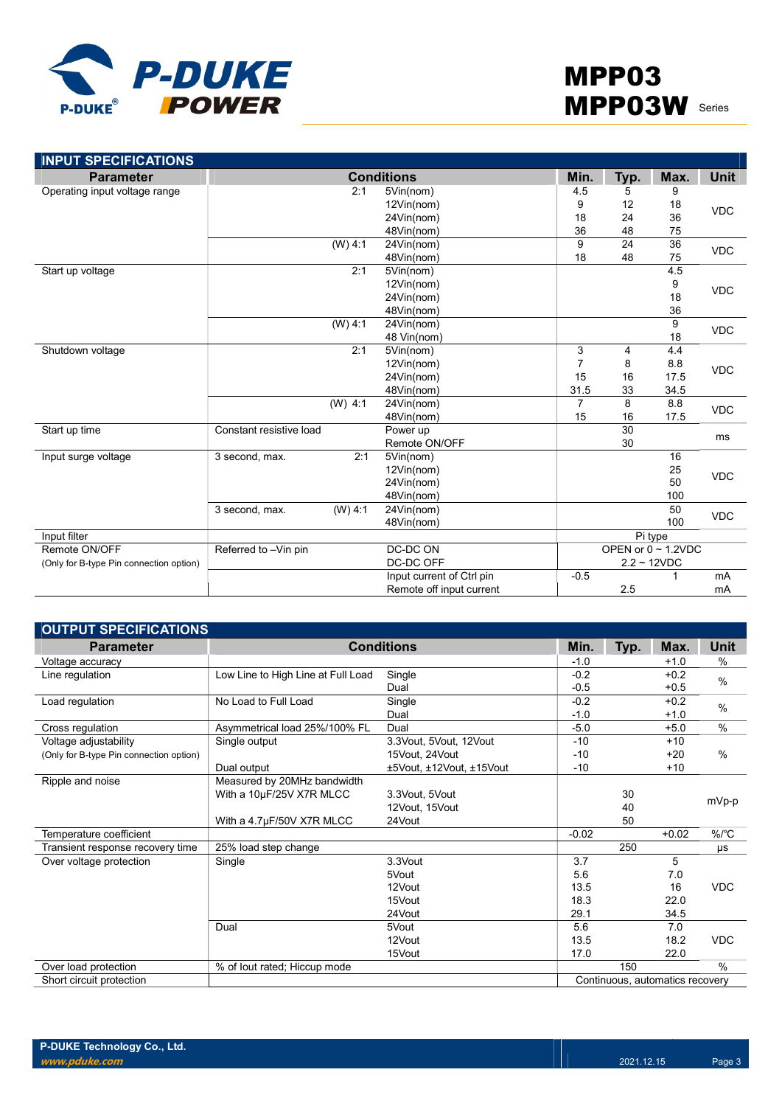

| <b>INPUT SPECIFICATIONS</b>             |                             |                           |                |      |                          |             |  |
|-----------------------------------------|-----------------------------|---------------------------|----------------|------|--------------------------|-------------|--|
| <b>Parameter</b>                        |                             | <b>Conditions</b>         | Min.           | Typ. | Max.                     | <b>Unit</b> |  |
| Operating input voltage range           | 2:1                         | 5Vin(nom)                 | 4.5            | 5    | 9                        |             |  |
|                                         |                             | 12Vin(nom)                | 9              | 12   | 18                       | <b>VDC</b>  |  |
|                                         |                             | 24Vin(nom)                | 18             | 24   | 36                       |             |  |
|                                         |                             | 48Vin(nom)                | 36             | 48   | 75                       |             |  |
|                                         | $(W)$ 4:1                   | 24Vin(nom)                | 9              | 24   | $\overline{36}$          |             |  |
|                                         |                             | 48Vin(nom)                | 18             | 48   | 75                       | <b>VDC</b>  |  |
| Start up voltage                        | 2:1                         | 5Vin(nom)                 |                |      | 4.5                      |             |  |
|                                         |                             | 12Vin(nom)                |                |      | 9                        | <b>VDC</b>  |  |
|                                         |                             | 24Vin(nom)                |                |      | 18                       |             |  |
|                                         |                             | 48Vin(nom)                |                |      | 36                       |             |  |
|                                         | (W) 4:1                     | 24Vin(nom)                |                |      | 9                        |             |  |
|                                         |                             | 48 Vin(nom)               |                |      | 18                       | <b>VDC</b>  |  |
| Shutdown voltage                        | 2:1                         | 5Vin(nom)                 | 3              | 4    | 4.4                      | <b>VDC</b>  |  |
|                                         |                             | 12Vin(nom)                | $\overline{7}$ | 8    | 8.8                      |             |  |
|                                         |                             | 24Vin(nom)                | 15             | 16   | 17.5                     |             |  |
|                                         |                             | 48Vin(nom)                | 31.5           | 33   | 34.5                     |             |  |
|                                         | $(W)$ 4:1                   | 24Vin(nom)                | $\overline{7}$ | 8    | 8.8                      | <b>VDC</b>  |  |
|                                         |                             | 48Vin(nom)                | 15             | 16   | 17.5                     |             |  |
| Start up time                           | Constant resistive load     | Power up                  |                | 30   |                          | ms          |  |
|                                         |                             | Remote ON/OFF             |                | 30   |                          |             |  |
| Input surge voltage                     | 2:1<br>3 second, max.       | 5Vin(nom)                 |                |      | 16                       |             |  |
|                                         |                             | 12Vin(nom)                |                |      | 25                       |             |  |
|                                         |                             | 24Vin(nom)                |                |      | 50                       | <b>VDC</b>  |  |
|                                         |                             | 48Vin(nom)                |                |      | 100                      |             |  |
|                                         | $(W)$ 4:1<br>3 second, max. | 24Vin(nom)                |                |      | 50                       |             |  |
|                                         |                             | 48Vin(nom)                |                |      | 100                      | <b>VDC</b>  |  |
| Input filter                            |                             |                           |                |      | Pi type                  |             |  |
| Remote ON/OFF                           | Referred to -Vin pin        | DC-DC ON                  |                |      | OPEN or $0 \sim 1.2$ VDC |             |  |
| (Only for B-type Pin connection option) |                             | DC-DC OFF                 | $2.2 - 12VDC$  |      |                          |             |  |
|                                         |                             | Input current of Ctrl pin | $-0.5$         |      |                          | mA          |  |
|                                         |                             | Remote off input current  |                | 2.5  |                          | mA          |  |

| <b>OUTPUT SPECIFICATIONS</b>            |                                    |                          |         |      |                                 |               |
|-----------------------------------------|------------------------------------|--------------------------|---------|------|---------------------------------|---------------|
| <b>Parameter</b>                        |                                    | <b>Conditions</b>        | Min.    | Typ. | Max.                            | Unit          |
| Voltage accuracy                        |                                    |                          | $-1.0$  |      | $+1.0$                          | $\%$          |
| Line regulation                         | Low Line to High Line at Full Load | Single                   | $-0.2$  |      | $+0.2$                          | $\frac{0}{0}$ |
|                                         |                                    | Dual                     | $-0.5$  |      | $+0.5$                          |               |
| Load regulation                         | No Load to Full Load               | Single                   | $-0.2$  |      | $+0.2$                          | $\%$          |
|                                         |                                    | Dual                     | $-1.0$  |      | $+1.0$                          |               |
| Cross regulation                        | Asymmetrical load 25%/100% FL      | Dual                     | $-5.0$  |      | $+5.0$                          | $\frac{0}{0}$ |
| Voltage adjustability                   | Single output                      | 3.3Vout, 5Vout, 12Vout   | $-10$   |      | $+10$                           |               |
| (Only for B-type Pin connection option) |                                    | 15Vout, 24Vout           | $-10$   |      | $+20$                           | $\%$          |
|                                         | Dual output                        | ±5Vout, ±12Vout, ±15Vout | $-10$   |      | $+10$                           |               |
| Ripple and noise                        | Measured by 20MHz bandwidth        |                          |         |      |                                 |               |
|                                         | With a 10µF/25V X7R MLCC           | 3.3Vout, 5Vout           |         | 30   |                                 |               |
|                                         |                                    | 12Vout. 15Vout           |         | 40   |                                 | mVp-p         |
|                                         | With a 4.7µF/50V X7R MLCC          | 24Vout                   |         | 50   |                                 |               |
| Temperature coefficient                 |                                    |                          | $-0.02$ |      | $+0.02$                         | $\%$ /°C      |
| Transient response recovery time        | 25% load step change               |                          |         | 250  |                                 | μs            |
| Over voltage protection                 | Single                             | 3.3Vout                  | 3.7     |      | 5                               |               |
|                                         |                                    | 5Vout                    | 5.6     |      | 7.0                             |               |
|                                         |                                    | 12Vout                   | 13.5    |      | 16                              | <b>VDC</b>    |
|                                         |                                    | 15Vout                   | 18.3    |      | 22.0                            |               |
|                                         |                                    | 24Vout                   | 29.1    |      | 34.5                            |               |
|                                         | Dual                               | 5Vout                    | 5.6     |      | 7.0                             |               |
|                                         |                                    | 12Vout                   | 13.5    |      | 18.2                            | <b>VDC</b>    |
|                                         |                                    | 15Vout                   | 17.0    |      | 22.0                            |               |
| Over load protection                    | % of lout rated; Hiccup mode       |                          |         | 150  |                                 | $\frac{0}{0}$ |
| Short circuit protection                |                                    |                          |         |      | Continuous, automatics recovery |               |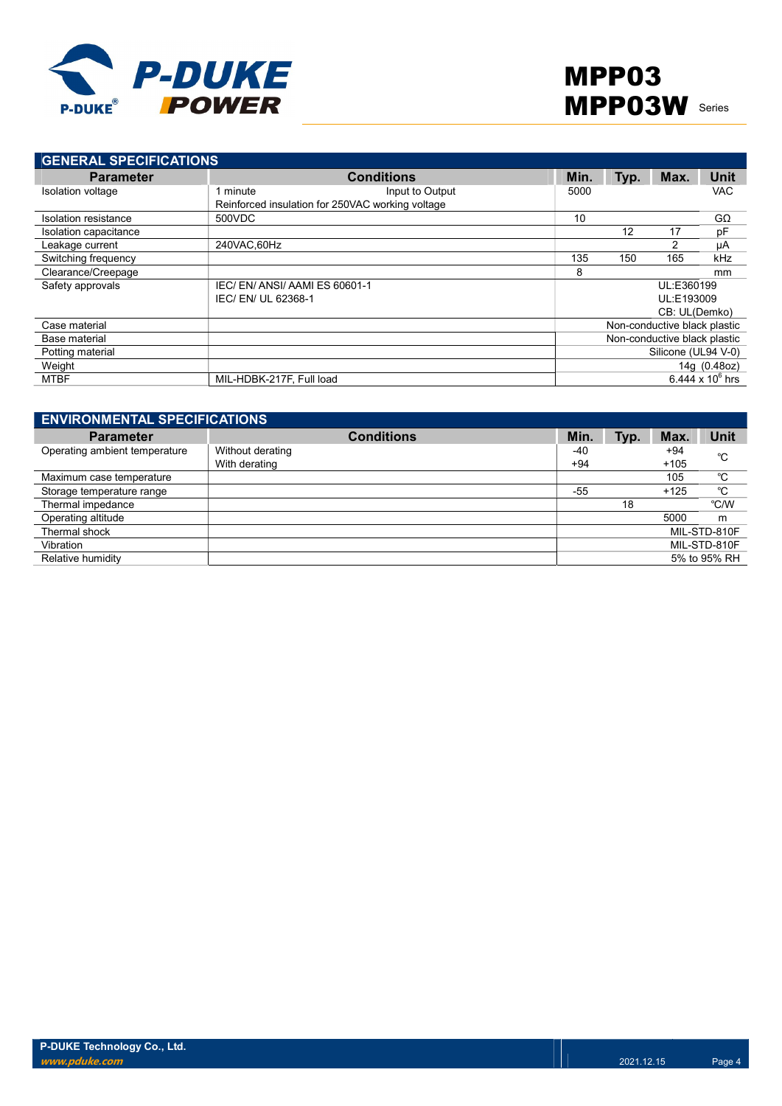

| <b>GENERAL SPECIFICATIONS</b> |                                                  |      |                              |      |               |                    |
|-------------------------------|--------------------------------------------------|------|------------------------------|------|---------------|--------------------|
| <b>Parameter</b>              | <b>Conditions</b>                                | Min. |                              | Typ. | Max.          | Unit               |
| Isolation voltage             | Input to Output<br>minute                        | 5000 |                              |      |               | <b>VAC</b>         |
|                               | Reinforced insulation for 250VAC working voltage |      |                              |      |               |                    |
| Isolation resistance          | 500VDC                                           | 10   |                              |      |               | $G\Omega$          |
| Isolation capacitance         |                                                  |      |                              | 12   | 17            | pF                 |
| Leakage current               | 240VAC.60Hz                                      |      |                              |      |               | μA                 |
| Switching frequency           |                                                  | 135  |                              | 150  | 165           | kHz                |
| Clearance/Creepage            |                                                  | 8    |                              |      |               | mm                 |
| Safety approvals              | IEC/EN/ANSI/AAMIES 60601-1                       |      |                              |      | UL:E360199    |                    |
|                               | IEC/ EN/ UL 62368-1                              |      |                              |      | UL:E193009    |                    |
|                               |                                                  |      |                              |      | CB: UL(Demko) |                    |
| Case material                 |                                                  |      | Non-conductive black plastic |      |               |                    |
| Base material                 |                                                  |      | Non-conductive black plastic |      |               |                    |
| Potting material              |                                                  |      | Silicone (UL94 V-0)          |      |               |                    |
| Weight                        |                                                  |      |                              |      |               | 14g (0.48oz)       |
| MTBF                          | MIL-HDBK-217F, Full load                         |      |                              |      |               | 6.444 x $10^6$ hrs |

| <b>ENVIRONMENTAL SPECIFICATIONS</b> |                   |       |      |        |              |  |
|-------------------------------------|-------------------|-------|------|--------|--------------|--|
| <b>Parameter</b>                    | <b>Conditions</b> | Min.  | Typ. | Max.   | <b>Unit</b>  |  |
| Operating ambient temperature       | Without derating  | -40   |      | $+94$  | °C           |  |
|                                     | With derating     | $+94$ |      | $+105$ |              |  |
| Maximum case temperature            |                   |       |      | 105    | °C           |  |
| Storage temperature range           |                   | $-55$ |      | $+125$ | °C           |  |
| Thermal impedance                   |                   |       | 18   |        | °C/W         |  |
| Operating altitude                  |                   |       |      | 5000   | m            |  |
| Thermal shock                       |                   |       |      |        | MIL-STD-810F |  |
| Vibration                           |                   |       |      |        | MIL-STD-810F |  |
| Relative humidity                   |                   |       |      |        | 5% to 95% RH |  |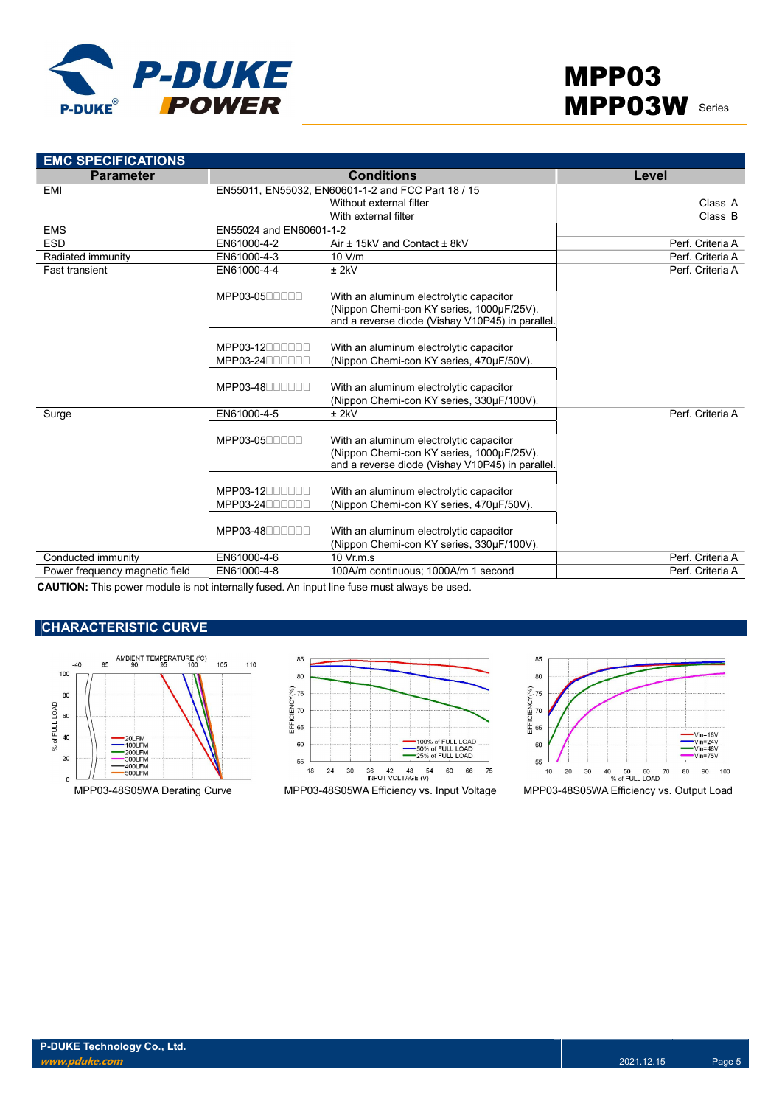

| <b>EMC SPECIFICATIONS</b>      |                                |                                                                                                                                          |                  |
|--------------------------------|--------------------------------|------------------------------------------------------------------------------------------------------------------------------------------|------------------|
| <b>Parameter</b>               |                                | <b>Conditions</b>                                                                                                                        | Level            |
| <b>EMI</b>                     |                                | EN55011, EN55032, EN60601-1-2 and FCC Part 18 / 15                                                                                       |                  |
|                                |                                | Without external filter                                                                                                                  | Class A          |
|                                |                                | With external filter                                                                                                                     | Class B          |
| <b>EMS</b>                     | EN55024 and EN60601-1-2        |                                                                                                                                          |                  |
| <b>ESD</b>                     | EN61000-4-2                    | Air ± 15kV and Contact ± 8kV                                                                                                             | Perf. Criteria A |
| Radiated immunity              | EN61000-4-3                    | 10 V/m                                                                                                                                   | Perf. Criteria A |
| <b>Fast transient</b>          | EN61000-4-4                    | $±$ 2kV                                                                                                                                  | Perf. Criteria A |
|                                | MPP03-0500000                  | With an aluminum electrolytic capacitor<br>(Nippon Chemi-con KY series, 1000µF/25V).<br>and a reverse diode (Vishay V10P45) in parallel. |                  |
|                                | MPP03-1200000                  | With an aluminum electrolytic capacitor                                                                                                  |                  |
|                                | $MPP03-24$                     | (Nippon Chemi-con KY series, 470µF/50V).                                                                                                 |                  |
|                                | MPP03-48000000                 | With an aluminum electrolytic capacitor<br>(Nippon Chemi-con KY series, 330µF/100V).                                                     |                  |
| Surge                          | EN61000-4-5                    | $±$ 2 $kV$                                                                                                                               | Perf. Criteria A |
|                                | MPP03-0500000                  | With an aluminum electrolytic capacitor<br>(Nippon Chemi-con KY series, 1000µF/25V).<br>and a reverse diode (Vishay V10P45) in parallel. |                  |
|                                | MPP03-1200000<br>MPP03-2400000 | With an aluminum electrolytic capacitor<br>(Nippon Chemi-con KY series, 470µF/50V).                                                      |                  |
|                                | MPP03-48000000                 | With an aluminum electrolytic capacitor<br>(Nippon Chemi-con KY series, 330µF/100V).                                                     |                  |
| Conducted immunity             | EN61000-4-6                    | $10 \text{ Vr.m.s}$                                                                                                                      | Perf. Criteria A |
| Power frequency magnetic field | EN61000-4-8                    | 100A/m continuous; 1000A/m 1 second                                                                                                      | Perf. Criteria A |

CAUTION: This power module is not internally fused. An input line fuse must always be used.

## CHARACTERISTIC CURVE





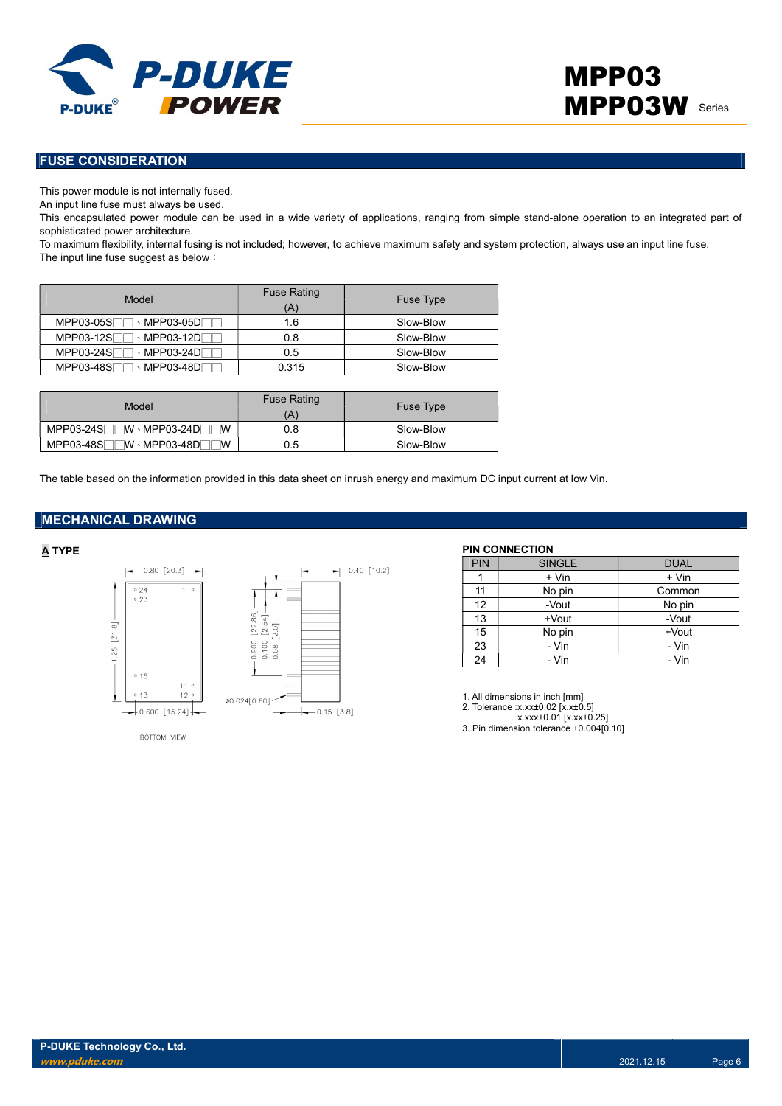

### FUSE CONSIDERATION

This power module is not internally fused.

An input line fuse must always be used.

This encapsulated power module can be used in a wide variety of applications, ranging from simple stand-alone operation to an integrated part of sophisticated power architecture.

To maximum flexibility, internal fusing is not included; however, to achieve maximum safety and system protection, always use an input line fuse. The input line fuse suggest as below:

| Model                                                   | <b>Fuse Rating</b><br>'A) | <b>Fuse Type</b> |
|---------------------------------------------------------|---------------------------|------------------|
| MPP03-05S<br>$\cdot$ MPP03-05D $\overline{\phantom{a}}$ | 1.6                       | Slow-Blow        |
| MPP03-12S<br>⋅MPP03-12DΓ                                | 0.8                       | Slow-Blow        |
| MPP03-24S<br>MPP03-24DF                                 | 0.5                       | Slow-Blow        |
| MPP03-48S<br>$\cdot$ MPP03-48D $\overline{\phantom{a}}$ | 0.315                     | Slow-Blow        |

| Model                                     | <b>Fuse Rating</b><br>Ά | Fuse Type |
|-------------------------------------------|-------------------------|-----------|
| MPP03-24S <sub>U</sub> W · MPP03-24D<br>W | 0.8                     | Slow-Blow |
| MPP03-48S<br>⊺W ⋅ MPP03-48D୮<br>W         | 0.5                     | Slow-Blow |

The table based on the information provided in this data sheet on inrush energy and maximum DC input current at low Vin.

### MECHANICAL DRAWING



BOTTOM VIEW

| <b>PIN</b> | <b>SINGLE</b> | <b>DUAL</b> |
|------------|---------------|-------------|
|            | + Vin         | + Vin       |
| 11         | No pin        | Common      |
| 12         | -Vout         | No pin      |
| 13         | +Vout         | -Vout       |
| 15         | No pin        | +Vout       |
| 23         | - Vin         | - Vin       |
| 24         | - Vin         | - Vin       |

1. All dimensions in inch [mm]

2. Tolerance :x.xx±0.02 [x.x±0.5]

x.xxx±0.01 [x.xx±0.25] 3. Pin dimension tolerance ±0.004[0.10]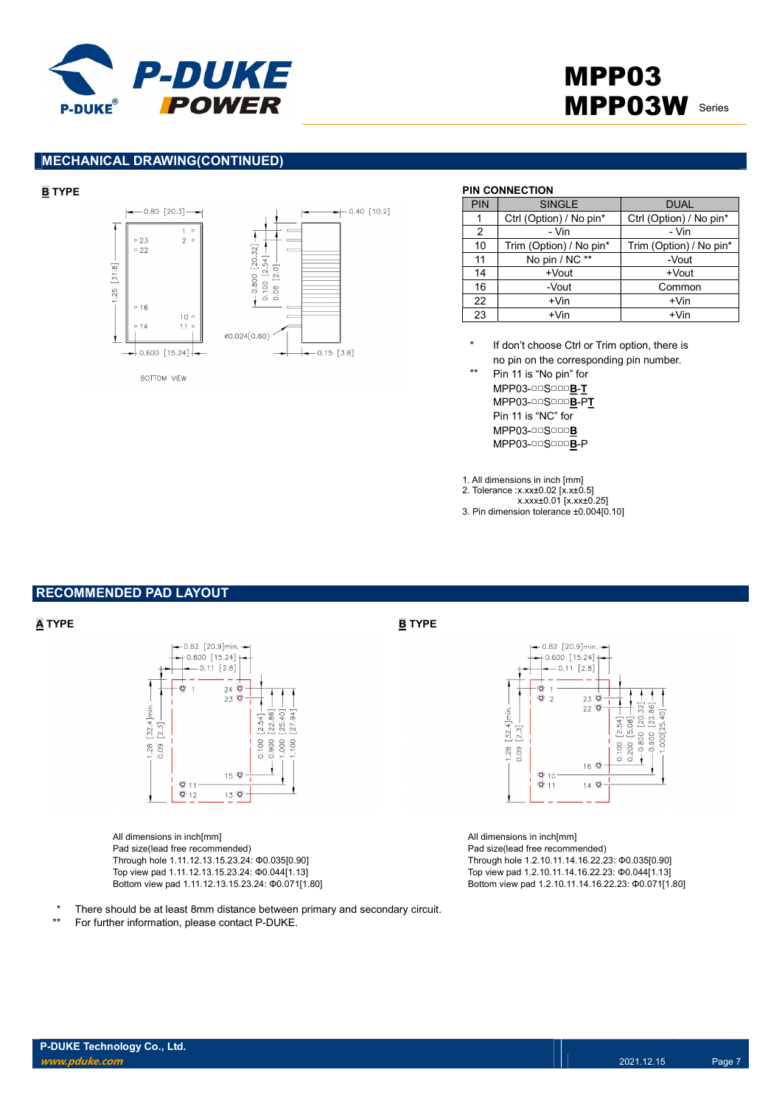

# MPP03 MPP03W Series

#### MECHANICAL DRAWING(CONTINUED)



#### BOTTOM VIEW

| <b>PIN</b> | <b>SINGLE</b>           | <b>DUAL</b>             |
|------------|-------------------------|-------------------------|
|            | Ctrl (Option) / No pin* | Ctrl (Option) / No pin* |
| 2          | - Vin                   | - Vin                   |
| 10         | Trim (Option) / No pin* | Trim (Option) / No pin* |
| 11         | No pin / NC **          | -Vout                   |
| 14         | +Vout                   | +Vout                   |
| 16         | -Vout                   | Common                  |
| 22         | $+V$ in                 | $+V$ in                 |
| 23         | $+V$ in                 | $+V$ in                 |

- If don't choose Ctrl or Trim option, there is no pin on the corresponding pin number.
- Pin 11 is "No pin" for MPP03-□□S□□□B-T MPP03-□□S□□□B-PT Pin 11 is "NC" for MPP03-□□S□□□B MPP03-□□S□□□B-P

1. All dimensions in inch [mm] 2. Tolerance :x.xx±0.02 [x.x±0.5]

- x.xxx±0.01 [x.xx±0.25]
- 3. Pin dimension tolerance ±0.004[0.10]

## RECOMMENDED PAD LAYOUT



All dimensions in inch[mm] Pad size(lead free recommended) Through hole 1.11.12.13.15.23.24: Φ0.035[0.90] Top view pad 1.11.12.13.15.23.24: Φ0.044[1.13] Bottom view pad 1.11.12.13.15.23.24: Φ0.071[1.80]

- There should be at least 8mm distance between primary and secondary circuit.
- \*\* For further information, please contact P-DUKE.

#### $\overline{\mathbf{A}}$  TYPE  $\overline{\mathbf{B}}$  TYPE



All dimensions in inch[mm] Pad size(lead free recommended) Through hole 1.2.10.11.14.16.22.23: Φ0.035[0.90] Top view pad 1.2.10.11.14.16.22.23: Φ0.044[1.13] Bottom view pad 1.2.10.11.14.16.22.23: Φ0.071[1.80]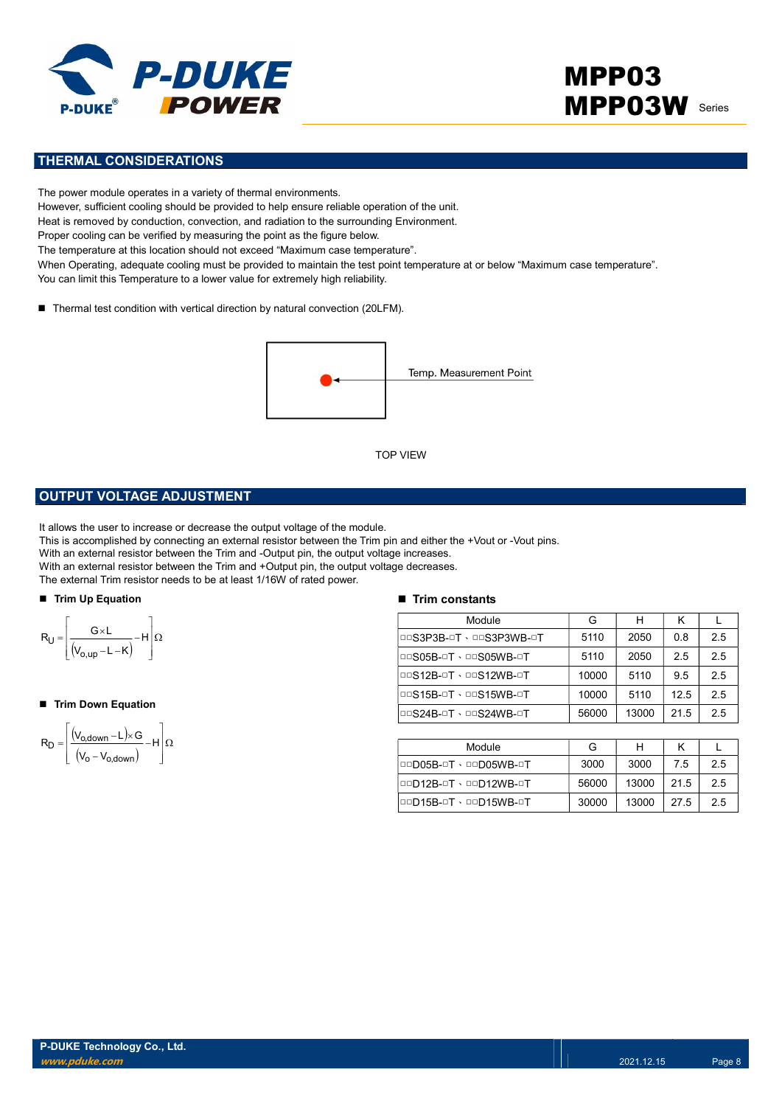

# MPP03 **MPP03W** Series

### THERMAL CONSIDERATIONS

The power module operates in a variety of thermal environments. However, sufficient cooling should be provided to help ensure reliable operation of the unit. Heat is removed by conduction, convection, and radiation to the surrounding Environment. Proper cooling can be verified by measuring the point as the figure below. The temperature at this location should not exceed "Maximum case temperature". When Operating, adequate cooling must be provided to maintain the test point temperature at or below "Maximum case temperature". You can limit this Temperature to a lower value for extremely high reliability.

■ Thermal test condition with vertical direction by natural convection (20LFM).



### OUTPUT VOLTAGE ADJUSTMENT

It allows the user to increase or decrease the output voltage of the module.

This is accomplished by connecting an external resistor between the Trim pin and either the +Vout or -Vout pins.

With an external resistor between the Trim and -Output pin, the output voltage increases.

With an external resistor between the Trim and +Output pin, the output voltage decreases.

The external Trim resistor needs to be at least 1/16W of rated power.

#### ■ Trim Up Equation



#### ■ Trim Down Equation

$$
R_D=\!\left[\!\!\begin{array}{c} \displaystyle \left(\!V_{o,\text{down}}\!-\!L\right)\!\times\! G\\ \displaystyle \left(\!V_o\!-\!V_{o,\text{down}}\!\right)\end{array}\!\!\!\!-\!H\right]\!\Omega
$$

#### $\blacksquare$  Trim constants

|                                                                                                                                                                                                                                                                                                                                                                                                                                   | <b>TOP VIEW</b>               |       |       |      |     |
|-----------------------------------------------------------------------------------------------------------------------------------------------------------------------------------------------------------------------------------------------------------------------------------------------------------------------------------------------------------------------------------------------------------------------------------|-------------------------------|-------|-------|------|-----|
| <b>PUT VOLTAGE ADJUSTMENT</b>                                                                                                                                                                                                                                                                                                                                                                                                     |                               |       |       |      |     |
| s the user to increase or decrease the output voltage of the module.<br>accomplished by connecting an external resistor between the Trim pin and either the +Vout or -Vout pins.<br>n external resistor between the Trim and -Output pin, the output voltage increases.<br>1 external resistor between the Trim and +Output pin, the output voltage decreases.<br>ternal Trim resistor needs to be at least 1/16W of rated power. |                               |       |       |      |     |
| n Up Equation                                                                                                                                                                                                                                                                                                                                                                                                                     | $\blacksquare$ Trim constants |       |       |      |     |
|                                                                                                                                                                                                                                                                                                                                                                                                                                   | Module                        | G     | H     | K    | L   |
| $\frac{G\times L}{(V_{o,up}-L-K)}-H\left \Omega\right $                                                                                                                                                                                                                                                                                                                                                                           | DOS3P3B-OT · DOS3P3WB-OT      | 5110  | 2050  | 0.8  | 2.5 |
|                                                                                                                                                                                                                                                                                                                                                                                                                                   | <b>DOS05B-OT · DOS05WB-OT</b> | 5110  | 2050  | 2.5  | 2.5 |
|                                                                                                                                                                                                                                                                                                                                                                                                                                   | <b>DOS12B-OT · DOS12WB-OT</b> | 10000 | 5110  | 9.5  | 2.5 |
| n Down Equation                                                                                                                                                                                                                                                                                                                                                                                                                   | <b>DOS15B-OT · DOS15WB-OT</b> | 10000 | 5110  | 12.5 | 2.5 |
|                                                                                                                                                                                                                                                                                                                                                                                                                                   | <b>DOS24B-OT · DOS24WB-OT</b> | 56000 | 13000 | 21.5 | 2.5 |
| $\frac{(V_{o,\text{down}} - L) \times G}{(V_o - V_{o,\text{down}})} - H\left[\Omega\right]$                                                                                                                                                                                                                                                                                                                                       |                               |       |       |      |     |
|                                                                                                                                                                                                                                                                                                                                                                                                                                   | Module                        | G     | H     | K    | L   |
|                                                                                                                                                                                                                                                                                                                                                                                                                                   | <b>OOD05B-OT · OOD05WB-OT</b> | 3000  | 3000  | 7.5  | 2.5 |
|                                                                                                                                                                                                                                                                                                                                                                                                                                   | 00D12B-0T · 00D12WB-0T        | 56000 | 13000 | 21.5 | 2.5 |
|                                                                                                                                                                                                                                                                                                                                                                                                                                   | 00D15B-0T · 00D15WB-0T        | 30000 | 13000 | 27.5 | 2.5 |
|                                                                                                                                                                                                                                                                                                                                                                                                                                   |                               |       |       |      |     |

| Module                 | G     |       |      |    |
|------------------------|-------|-------|------|----|
| □□D05B-□T、□□D05WB-□T   | 3000  | 3000  | 7.5  | 25 |
| 00D12B-0T \ 00D12WB-0T | 56000 | 13000 | 21.5 | 25 |
| 00D15B-0T \ 00D15WB-0T | 30000 | 13000 | 27.5 | 25 |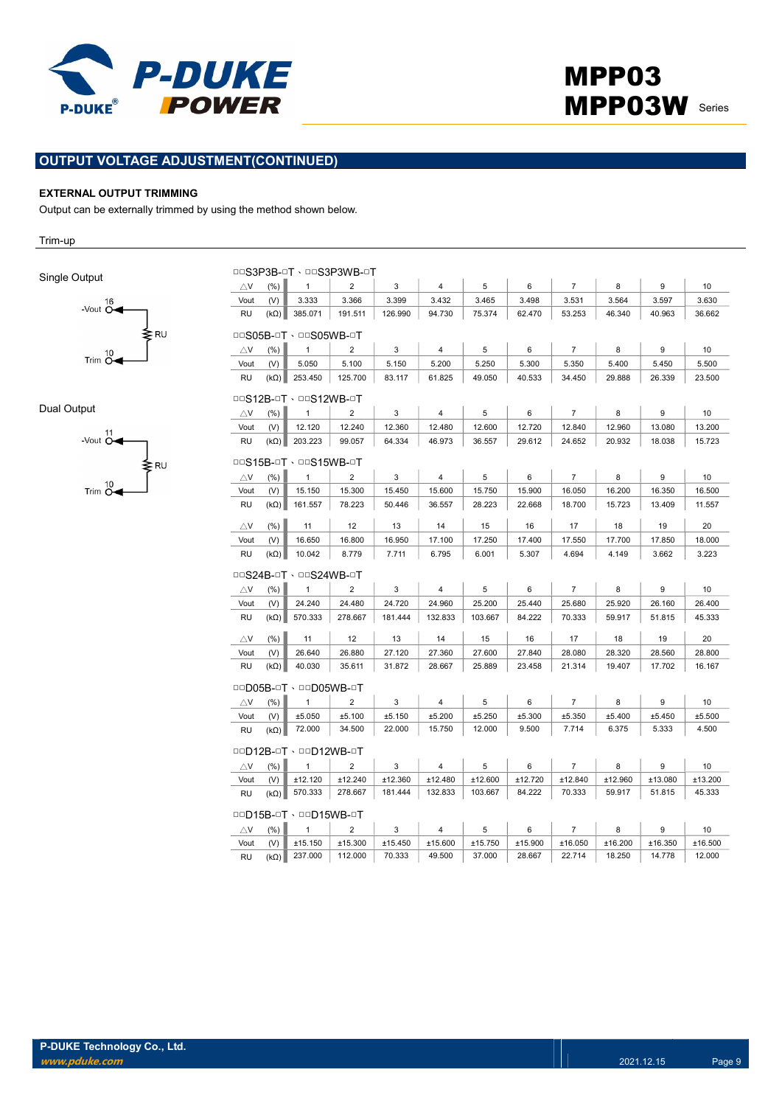

### OUTPUT VOLTAGE ADJUSTMENT(CONTINUED)

#### EXTERNAL OUTPUT TRIMMING

Output can be externally trimmed by using the method shown below.

Trim-up

Single Output



Dual Output



|               |             |                               | DOS3P3B-OT . DOS3P3WB-OT |         |                |         |         |                |         |         |         |
|---------------|-------------|-------------------------------|--------------------------|---------|----------------|---------|---------|----------------|---------|---------|---------|
| $\triangle$ V | (% )        | $\mathbf{1}$                  | $\overline{2}$           | 3       | 4              | 5       | 6       | $\overline{7}$ | 8       | 9       | 10      |
| Vout          | (V)         | 3.333                         | 3.366                    | 3.399   | 3.432          | 3.465   | 3.498   | 3.531          | 3.564   | 3.597   | 3.630   |
| <b>RU</b>     | $(k\Omega)$ | 385.071                       | 191.511                  | 126.990 | 94.730         | 75.374  | 62.470  | 53.253         | 46.340  | 40.963  | 36.662  |
|               |             | <b>DOS05B-OT · DOS05WB-OT</b> |                          |         |                |         |         |                |         |         |         |
| $\triangle$ V | (%)         | $\mathbf{1}$                  | $\overline{2}$           | 3       | $\overline{4}$ | 5       | 6       | $\overline{7}$ | 8       | 9       | 10      |
| Vout          | (V)         | 5.050                         | 5.100                    | 5.150   | 5.200          | 5.250   | 5.300   | 5.350          | 5.400   | 5.450   | 5.500   |
| RU            |             | $(k\Omega)$ 253.450           | 125.700                  | 83.117  | 61.825         | 49.050  | 40.533  | 34.450         | 29.888  | 26.339  | 23.500  |
|               |             | <b>DOS12B-OT · DOS12WB-OT</b> |                          |         |                |         |         |                |         |         |         |
| $\triangle$ V | (%)         | $\mathbf{1}$                  | $\overline{2}$           | 3       | $\overline{4}$ | 5       | 6       | $\overline{7}$ | 8       | 9       | 10      |
| Vout          | (V)         | 12.120                        | 12.240                   | 12.360  | 12.480         | 12.600  | 12.720  | 12.840         | 12.960  | 13.080  | 13.200  |
| <b>RU</b>     | $(k\Omega)$ | 203.223                       | 99.057                   | 64.334  | 46.973         | 36.557  | 29.612  | 24.652         | 20.932  | 18.038  | 15.723  |
|               |             | <b>DOS15B-OT · DOS15WB-OT</b> |                          |         |                |         |         |                |         |         |         |
| $\triangle$ V | (% )        | $\mathbf{1}$                  | $\overline{2}$           | 3       | 4              | 5       | 6       | $\overline{7}$ | 8       | 9       | 10      |
| Vout          | (V)         | 15.150                        | 15.300                   | 15.450  | 15.600         | 15.750  | 15.900  | 16.050         | 16.200  | 16.350  | 16.500  |
| <b>RU</b>     | $(k\Omega)$ | 161.557                       | 78.223                   | 50.446  | 36.557         | 28.223  | 22.668  | 18.700         | 15.723  | 13.409  | 11.557  |
| $\triangle$ V | (%)         | 11                            | 12                       | 13      | 14             | 15      | 16      | 17             | 18      | 19      | 20      |
| Vout          | (V)         | 16.650                        | 16,800                   | 16.950  | 17.100         | 17.250  | 17.400  | 17.550         | 17.700  | 17.850  | 18.000  |
| <b>RU</b>     | $(k\Omega)$ | 10.042                        | 8.779                    | 7.711   | 6.795          | 6.001   | 5.307   | 4.694          | 4.149   | 3.662   | 3.223   |
|               |             | <b>DOS24B-OT · DOS24WB-OT</b> |                          |         |                |         |         |                |         |         |         |
| $\triangle$ V | (% )        | $\mathbf{1}$                  | $\overline{2}$           | 3       | 4              | 5       | 6       | $\overline{7}$ | 8       | 9       | 10      |
| Vout          | (V)         | 24.240                        | 24.480                   | 24.720  | 24.960         | 25.200  | 25.440  | 25.680         | 25.920  | 26.160  | 26.400  |
| RU            | $(k\Omega)$ | 570.333                       | 278.667                  | 181.444 | 132.833        | 103.667 | 84.222  | 70.333         | 59.917  | 51.815  | 45.333  |
| $\triangle$ V | (% )        | 11                            | 12                       | 13      | 14             | 15      | 16      | 17             | 18      | 19      | 20      |
| Vout          | (V)         | 26.640                        | 26.880                   | 27.120  | 27.360         | 27.600  | 27.840  | 28.080         | 28.320  | 28.560  | 28.800  |
| <b>RU</b>     | $(k\Omega)$ | 40.030                        | 35.611                   | 31.872  | 28.667         | 25.889  | 23.458  | 21.314         | 19.407  | 17.702  | 16.167  |
|               |             | 00D05B-0T · 00D05WB-0T        |                          |         |                |         |         |                |         |         |         |
| $\triangle$ V | (% )        | $\mathbf{1}$                  | $\overline{2}$           | 3       | $\overline{4}$ | 5       | 6       | $\overline{7}$ | 8       | 9       | 10      |
| Vout          | (V)         | ±5.050                        | ±5.100                   | ±5.150  | ±5.200         | ±5.250  | ±5.300  | ±5.350         | ±5.400  | ±5.450  | ±5.500  |
| <b>RU</b>     | $(k\Omega)$ | 72.000                        | 34.500                   | 22.000  | 15.750         | 12.000  | 9.500   | 7.714          | 6.375   | 5.333   | 4.500   |
|               |             | 00D12B-0T · 00D12WB-0T        |                          |         |                |         |         |                |         |         |         |
| $\triangle$ V | (%)         | $\mathbf{1}$                  | $\overline{2}$           | 3       | 4              | 5       | 6       | $\overline{7}$ | 8       | 9       | 10      |
| Vout          | (V)         | ±12.120                       | ±12.240                  | ±12.360 | ±12.480        | ±12.600 | ±12.720 | ±12.840        | ±12.960 | ±13.080 | ±13.200 |
| <b>RU</b>     | $(k\Omega)$ | 570.333                       | 278.667                  | 181.444 | 132.833        | 103.667 | 84.222  | 70.333         | 59.917  | 51.815  | 45.333  |
|               |             | 00D15B-0T · 00D15WB-0T        |                          |         |                |         |         |                |         |         |         |
| $\triangle$ V | (%)         | $\mathbf{1}$                  | $\overline{2}$           | 3       | 4              | 5       | 6       | $\overline{7}$ | 8       | 9       | 10      |
| Vout          | (V)         | ±15.150                       | ±15.300                  | ±15.450 | ±15.600        | ±15.750 | ±15.900 | ±16.050        | ±16.200 | ±16.350 | ±16.500 |
| <b>RU</b>     | $(k\Omega)$ | 237.000                       | 112.000                  | 70.333  | 49.500         | 37.000  | 28.667  | 22.714         | 18.250  | 14.778  | 12.000  |